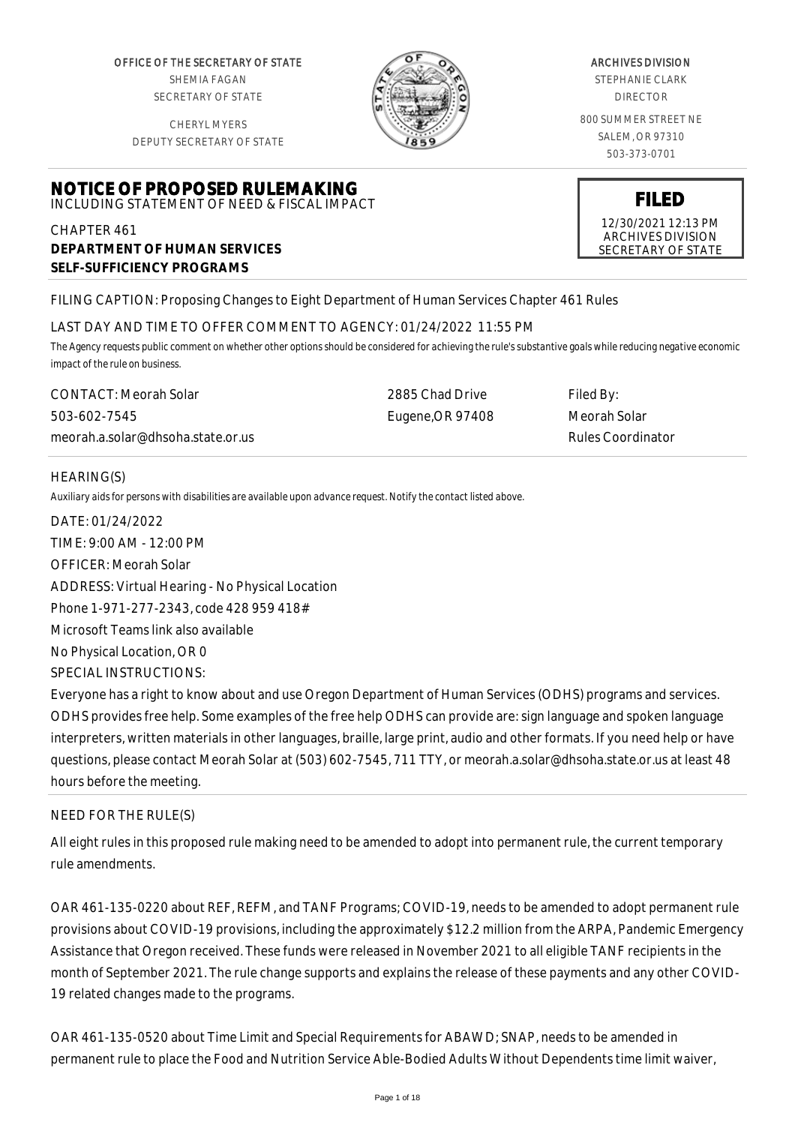OFFICE OF THE SECRETARY OF STATE SHEMIA FAGAN SECRETARY OF STATE

CHERYL MYERS DEPUTY SECRETARY OF STATE

**NOTICE OF PROPOSED RULEMAKING** INCLUDING STATEMENT OF NEED & FISCAL IMPACT



#### ARCHIVES DIVISION

STEPHANIE CLARK DIRECTOR

800 SUMMER STREET NE SALEM, OR 97310 503-373-0701

# **FILED**

12/30/2021 12:13 PM ARCHIVES DIVISION SECRETARY OF STATE

CHAPTER 461 **DEPARTMENT OF HUMAN SERVICES**

**SELF-SUFFICIENCY PROGRAMS**

# FILING CAPTION: Proposing Changes to Eight Department of Human Services Chapter 461 Rules

## LAST DAY AND TIME TO OFFER COMMENT TO AGENCY: 01/24/2022 11:55 PM

*The Agency requests public comment on whether other options should be considered for achieving the rule's substantive goals while reducing negative economic impact of the rule on business.*

CONTACT: Meorah Solar 503-602-7545 meorah.a.solar@dhsoha.state.or.us 2885 Chad Drive Eugene,OR 97408 Filed By: Meorah Solar Rules Coordinator

# HEARING(S)

*Auxiliary aids for persons with disabilities are available upon advance request. Notify the contact listed above.*

DATE: 01/24/2022 TIME: 9:00 AM - 12:00 PM OFFICER: Meorah Solar ADDRESS: Virtual Hearing - No Physical Location Phone 1-971-277-2343, code 428 959 418# Microsoft Teams link also available No Physical Location, OR 0 SPECIAL INSTRUCTIONS: Everyone has a right to know about and use Oregon Department of Human Services (ODHS) programs and services. ODHS provides free help. Some examples of the free help ODHS can provide are: sign language and spoken language interpreters, written materials in other languages, braille, large print, audio and other formats. If you need help or have questions, please contact Meorah Solar at (503) 602-7545, 711 TTY, or meorah.a.solar@dhsoha.state.or.us at least 48

hours before the meeting.

# NEED FOR THE RULE(S)

All eight rules in this proposed rule making need to be amended to adopt into permanent rule, the current temporary rule amendments.

OAR 461-135-0220 about REF, REFM, and TANF Programs; COVID-19, needs to be amended to adopt permanent rule provisions about COVID-19 provisions, including the approximately \$12.2 million from the ARPA, Pandemic Emergency Assistance that Oregon received. These funds were released in November 2021 to all eligible TANF recipients in the month of September 2021. The rule change supports and explains the release of these payments and any other COVID-19 related changes made to the programs.

OAR 461-135-0520 about Time Limit and Special Requirements for ABAWD; SNAP, needs to be amended in permanent rule to place the Food and Nutrition Service Able-Bodied Adults Without Dependents time limit waiver,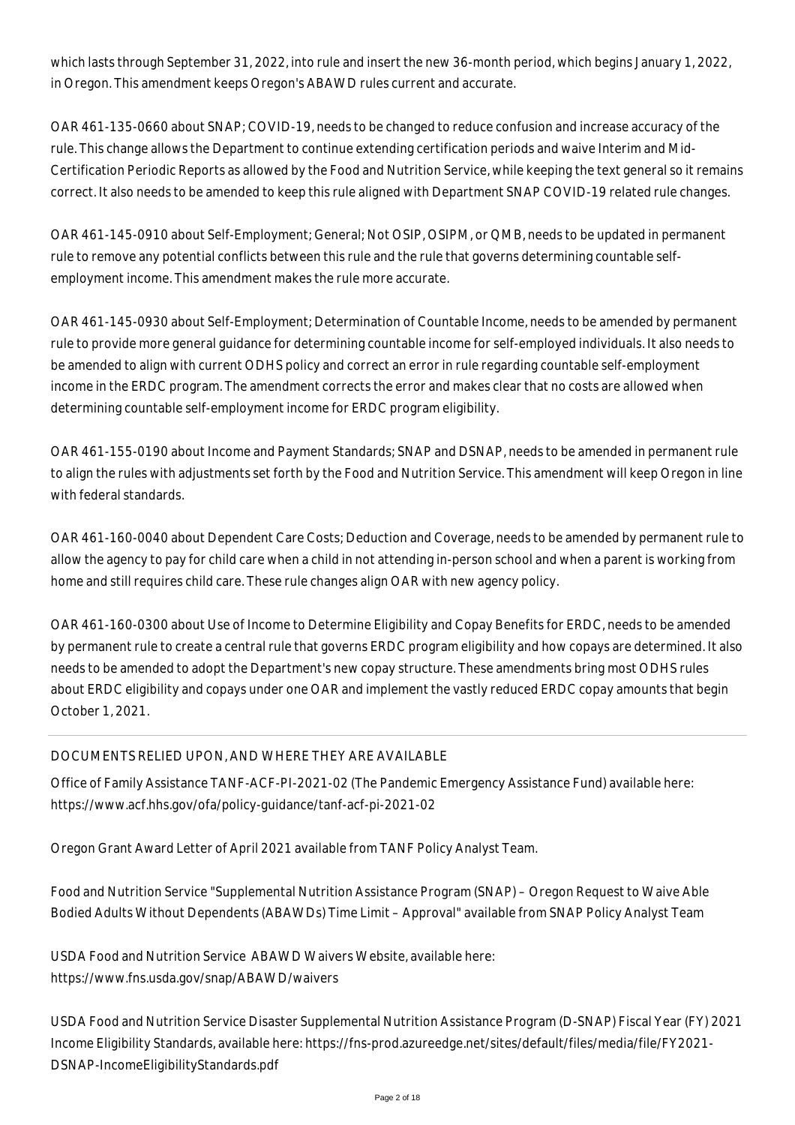which lasts through September 31, 2022, into rule and insert the new 36-month period, which begins January 1, 2022, in Oregon. This amendment keeps Oregon's ABAWD rules current and accurate.

OAR 461-135-0660 about SNAP; COVID-19, needs to be changed to reduce confusion and increase accuracy of the rule. This change allows the Department to continue extending certification periods and waive Interim and Mid-Certification Periodic Reports as allowed by the Food and Nutrition Service, while keeping the text general so it remains correct. It also needs to be amended to keep this rule aligned with Department SNAP COVID-19 related rule changes.

OAR 461-145-0910 about Self-Employment; General; Not OSIP, OSIPM, or QMB, needs to be updated in permanent rule to remove any potential conflicts between this rule and the rule that governs determining countable selfemployment income. This amendment makes the rule more accurate.

OAR 461-145-0930 about Self-Employment; Determination of Countable Income, needs to be amended by permanent rule to provide more general guidance for determining countable income for self-employed individuals. It also needs to be amended to align with current ODHS policy and correct an error in rule regarding countable self-employment income in the ERDC program. The amendment corrects the error and makes clear that no costs are allowed when determining countable self-employment income for ERDC program eligibility.

OAR 461-155-0190 about Income and Payment Standards; SNAP and DSNAP, needs to be amended in permanent rule to align the rules with adjustments set forth by the Food and Nutrition Service. This amendment will keep Oregon in line with federal standards.

OAR 461-160-0040 about Dependent Care Costs; Deduction and Coverage, needs to be amended by permanent rule to allow the agency to pay for child care when a child in not attending in-person school and when a parent is working from home and still requires child care. These rule changes align OAR with new agency policy.

OAR 461-160-0300 about Use of Income to Determine Eligibility and Copay Benefits for ERDC, needs to be amended by permanent rule to create a central rule that governs ERDC program eligibility and how copays are determined. It also needs to be amended to adopt the Department's new copay structure. These amendments bring most ODHS rules about ERDC eligibility and copays under one OAR and implement the vastly reduced ERDC copay amounts that begin October 1, 2021.

# DOCUMENTS RELIED UPON, AND WHERE THEY ARE AVAILABLE

Office of Family Assistance TANF-ACF-PI-2021-02 (The Pandemic Emergency Assistance Fund) available here: https://www.acf.hhs.gov/ofa/policy-guidance/tanf-acf-pi-2021-02

Oregon Grant Award Letter of April 2021 available from TANF Policy Analyst Team.

Food and Nutrition Service "Supplemental Nutrition Assistance Program (SNAP) – Oregon Request to Waive Able Bodied Adults Without Dependents (ABAWDs) Time Limit – Approval" available from SNAP Policy Analyst Team

USDA Food and Nutrition Service ABAWD Waivers Website, available here: https://www.fns.usda.gov/snap/ABAWD/waivers

USDA Food and Nutrition Service Disaster Supplemental Nutrition Assistance Program (D-SNAP) Fiscal Year (FY) 2021 Income Eligibility Standards, available here: https://fns-prod.azureedge.net/sites/default/files/media/file/FY2021- DSNAP-IncomeEligibilityStandards.pdf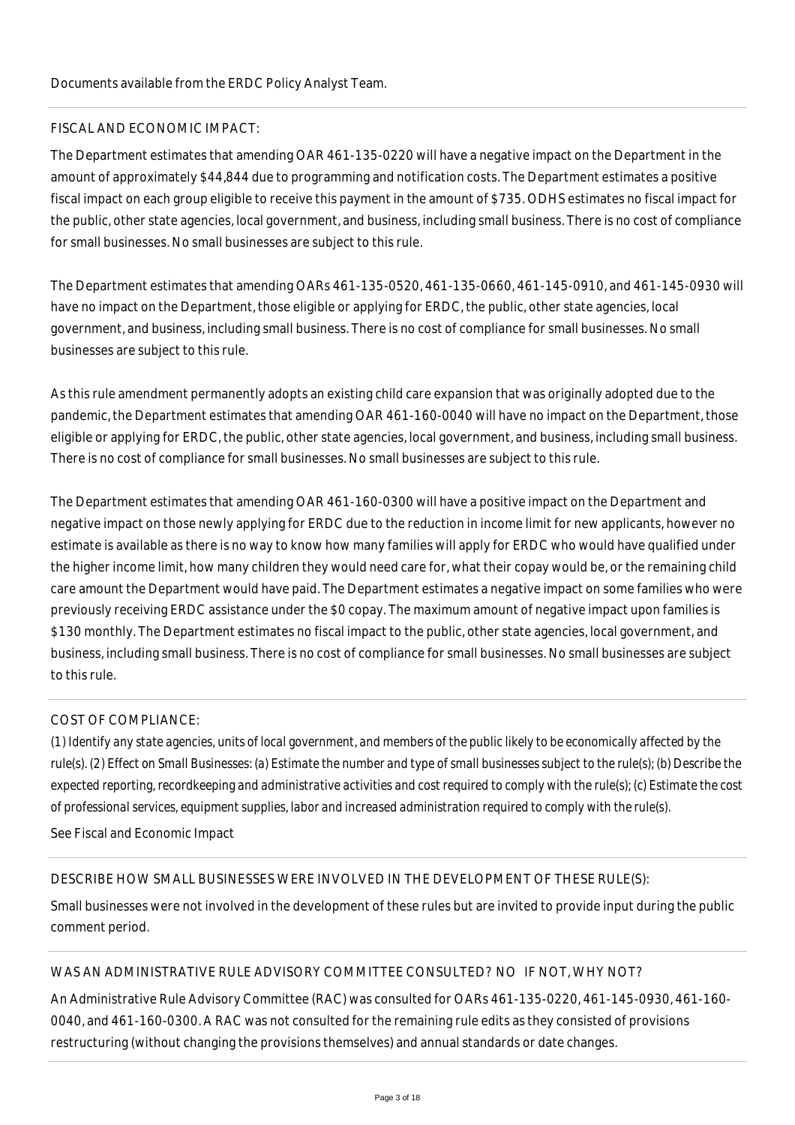## FISCAL AND ECONOMIC IMPACT:

The Department estimates that amending OAR 461-135-0220 will have a negative impact on the Department in the amount of approximately \$44,844 due to programming and notification costs. The Department estimates a positive fiscal impact on each group eligible to receive this payment in the amount of \$735. ODHS estimates no fiscal impact for the public, other state agencies, local government, and business, including small business. There is no cost of compliance for small businesses. No small businesses are subject to this rule.

The Department estimates that amending OARs 461-135-0520, 461-135-0660, 461-145-0910, and 461-145-0930 will have no impact on the Department, those eligible or applying for ERDC, the public, other state agencies, local government, and business, including small business. There is no cost of compliance for small businesses. No small businesses are subject to this rule.

As this rule amendment permanently adopts an existing child care expansion that was originally adopted due to the pandemic, the Department estimates that amending OAR 461-160-0040 will have no impact on the Department, those eligible or applying for ERDC, the public, other state agencies, local government, and business, including small business. There is no cost of compliance for small businesses. No small businesses are subject to this rule.

The Department estimates that amending OAR 461-160-0300 will have a positive impact on the Department and negative impact on those newly applying for ERDC due to the reduction in income limit for new applicants, however no estimate is available as there is no way to know how many families will apply for ERDC who would have qualified under the higher income limit, how many children they would need care for, what their copay would be, or the remaining child care amount the Department would have paid. The Department estimates a negative impact on some families who were previously receiving ERDC assistance under the \$0 copay. The maximum amount of negative impact upon families is \$130 monthly. The Department estimates no fiscal impact to the public, other state agencies, local government, and business, including small business. There is no cost of compliance for small businesses. No small businesses are subject to this rule.

# COST OF COMPLIANCE:

*(1) Identify any state agencies, units of local government, and members of the public likely to be economically affected by the rule(s). (2) Effect on Small Businesses: (a) Estimate the number and type of small businesses subject to the rule(s); (b) Describe the expected reporting, recordkeeping and administrative activities and cost required to comply with the rule(s); (c) Estimate the cost of professional services, equipment supplies, labor and increased administration required to comply with the rule(s).*

See Fiscal and Economic Impact

#### DESCRIBE HOW SMALL BUSINESSES WERE INVOLVED IN THE DEVELOPMENT OF THESE RULE(S):

Small businesses were not involved in the development of these rules but are invited to provide input during the public comment period.

## WAS AN ADMINISTRATIVE RULE ADVISORY COMMITTEE CONSULTED? NO IF NOT, WHY NOT?

An Administrative Rule Advisory Committee (RAC) was consulted for OARs 461-135-0220, 461-145-0930, 461-160- 0040, and 461-160-0300. A RAC was not consulted for the remaining rule edits as they consisted of provisions restructuring (without changing the provisions themselves) and annual standards or date changes.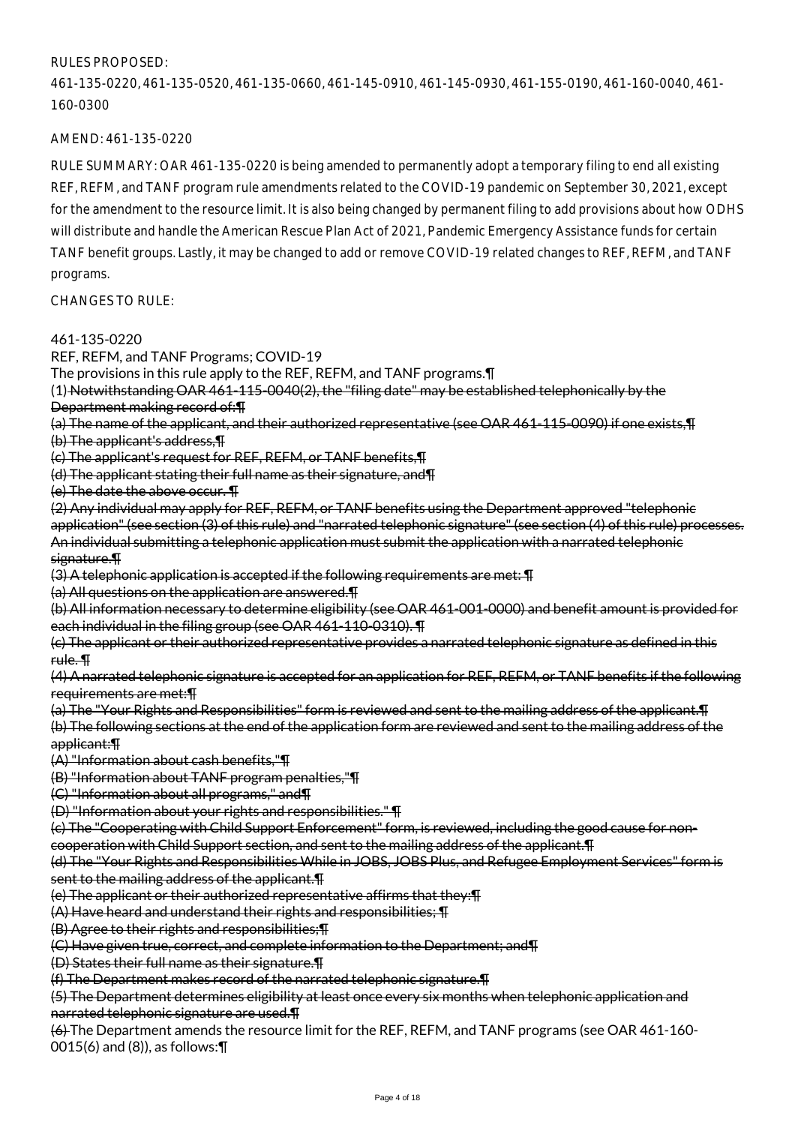# RULES PROPOSED:

461-135-0220, 461-135-0520, 461-135-0660, 461-145-0910, 461-145-0930, 461-155-0190, 461-160-0040, 461- 160-0300

## AMEND: 461-135-0220

RULE SUMMARY: OAR 461-135-0220 is being amended to permanently adopt a temporary filing to end all existing REF, REFM, and TANF program rule amendments related to the COVID-19 pandemic on September 30, 2021, except for the amendment to the resource limit. It is also being changed by permanent filing to add provisions about how ODHS will distribute and handle the American Rescue Plan Act of 2021, Pandemic Emergency Assistance funds for certain TANF benefit groups. Lastly, it may be changed to add or remove COVID-19 related changes to REF, REFM, and TANF programs.

CHANGES TO RULE:

#### 461-135-0220

REF, REFM, and TANF Programs; COVID-19

The provisions in this rule apply to the REF, REFM, and TANF programs.¶

(1) Notwithstanding OAR 461-115-0040(2), the "filing date" may be established telephonically by the Department making record of:¶

(a) The name of the applicant, and their authorized representative (see OAR 461-115-0090) if one exists,¶

(b) The applicant's address,¶

(c) The applicant's request for REF, REFM, or TANF benefits,¶

(d) The applicant stating their full name as their signature, and¶

(e) The date the above occur. ¶

(2) Any individual may apply for REF, REFM, or TANF benefits using the Department approved "telephonic application" (see section (3) of this rule) and "narrated telephonic signature" (see section (4) of this rule) processes. An individual submitting a telephonic application must submit the application with a narrated telephonic signature.¶

(3) A telephonic application is accepted if the following requirements are met: ¶

(a) All questions on the application are answered.¶

(b) All information necessary to determine eligibility (see OAR 461-001-0000) and benefit amount is provided for each individual in the filing group (see OAR 461-110-0310). ¶

(c) The applicant or their authorized representative provides a narrated telephonic signature as defined in this rule. ¶

(4) A narrated telephonic signature is accepted for an application for REF, REFM, or TANF benefits if the following requirements are met:¶

(a) The "Your Rights and Responsibilities" form is reviewed and sent to the mailing address of the applicant.¶ (b) The following sections at the end of the application form are reviewed and sent to the mailing address of the applicant:¶

(A) "Information about cash benefits,"¶

(B) "Information about TANF program penalties,"¶

(C) "Information about all programs," and¶

(D) "Information about your rights and responsibilities." ¶

(c) The "Cooperating with Child Support Enforcement" form, is reviewed, including the good cause for noncooperation with Child Support section, and sent to the mailing address of the applicant.¶

(d) The "Your Rights and Responsibilities While in JOBS, JOBS Plus, and Refugee Employment Services" form is sent to the mailing address of the applicant. T

(e) The applicant or their authorized representative affirms that they:¶

(A) Have heard and understand their rights and responsibilities; ¶

(B) Agree to their rights and responsibilities;¶

(C) Have given true, correct, and complete information to the Department; and¶

(D) States their full name as their signature.¶

(f) The Department makes record of the narrated telephonic signature.¶

(5) The Department determines eligibility at least once every six months when telephonic application and narrated telephonic signature are used.¶

(6) The Department amends the resource limit for the REF, REFM, and TANF programs (see OAR 461-160- 0015(6) and (8)), as follows:¶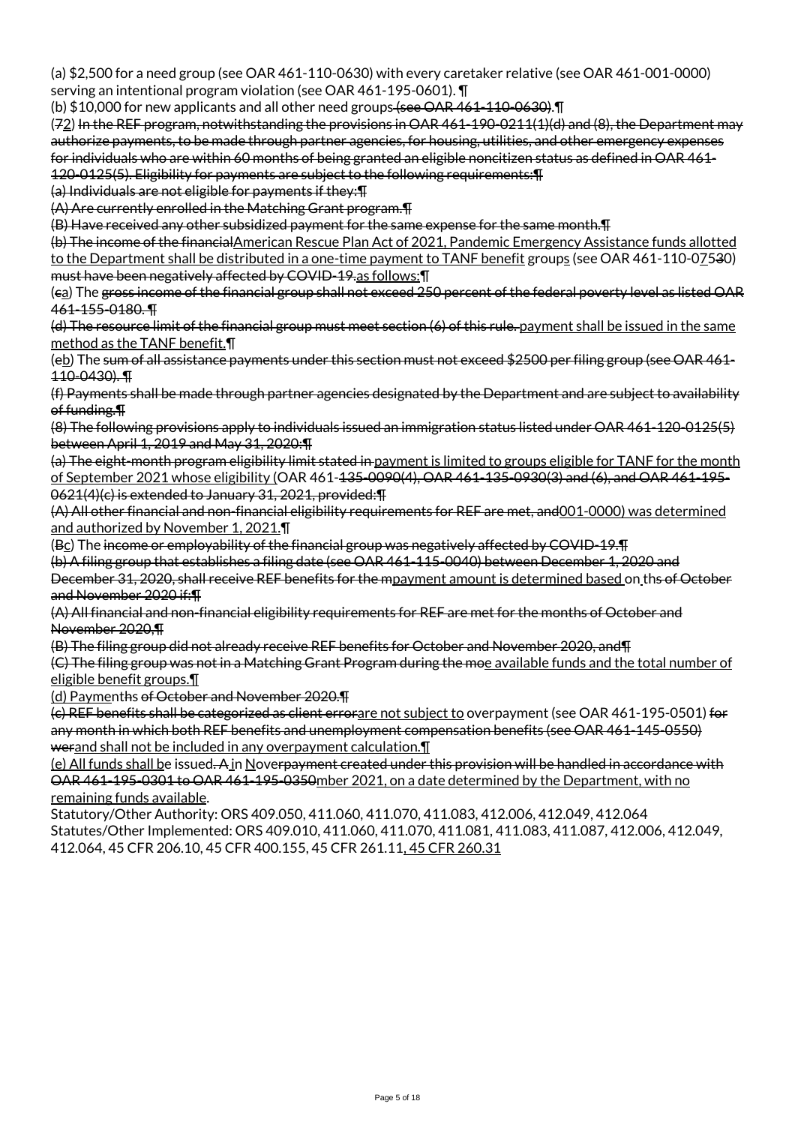(a) \$2,500 for a need group (see OAR 461-110-0630) with every caretaker relative (see OAR 461-001-0000) serving an intentional program violation (see OAR 461-195-0601). ¶

(b) \$10,000 for new applicants and all other need groups (see OAR 461-110-0630). T

(72) In the REF program, notwithstanding the provisions in OAR 461-190-0211(1)(d) and (8), the Department may authorize payments, to be made through partner agencies, for housing, utilities, and other emergency expenses for individuals who are within 60 months of being granted an eligible noncitizen status as defined in OAR 461- 120-0125(5). Eligibility for payments are subject to the following requirements:¶

(a) Individuals are not eligible for payments if they:¶

(A) Are currently enrolled in the Matching Grant program.¶

(B) Have received any other subsidized payment for the same expense for the same month.¶

(b) The income of the financialAmerican Rescue Plan Act of 2021, Pandemic Emergency Assistance funds allotted to the Department shall be distributed in a one-time payment to TANF benefit groups (see OAR 461-110-07530) must have been negatively affected by COVID-19.as follows:¶

(ca) The gross income of the financial group shall not exceed 250 percent of the federal poverty level as listed OAR 461-155-0180. ¶

(d) The resource limit of the financial group must meet section (6) of this rule. payment shall be issued in the same method as the TANF benefit.¶

(eb) The sum of all assistance payments under this section must not exceed \$2500 per filing group (see OAR 461- 110-0430). ¶

(f) Payments shall be made through partner agencies designated by the Department and are subject to availability of funding.¶

(8) The following provisions apply to individuals issued an immigration status listed under OAR 461-120-0125(5) between April 1, 2019 and May 31, 2020:¶

(a) The eight-month program eligibility limit stated in payment is limited to groups eligible for TANF for the month of September 2021 whose eligibility (OAR 461-135-0090(4), OAR 461-135-0930(3) and (6), and OAR 461-195- 0621(4)(c) is extended to January 31, 2021, provided:¶

(A) All other financial and non-financial eligibility requirements for REF are met, and001-0000) was determined and authorized by November 1, 2021.¶

(Bc) The income or employability of the financial group was negatively affected by COVID-19.¶

(b) A filing group that establishes a filing date (see OAR 461-115-0040) between December 1, 2020 and December 31, 2020, shall receive REF benefits for the mpayment amount is determined based on ths of October and November 2020 if:¶

(A) All financial and non-financial eligibility requirements for REF are met for the months of October and November 2020,¶

(B) The filing group did not already receive REF benefits for October and November 2020, and¶

(C) The filing group was not in a Matching Grant Program during the moe available funds and the total number of eligible benefit groups.¶

(d) Paymenths of October and November 2020.¶

(c) REF benefits shall be categorized as client errorare not subject to overpayment (see OAR 461-195-0501) for any month in which both REF benefits and unemployment compensation benefits (see OAR 461-145-0550) werand shall not be included in any overpayment calculation.¶

(e) All funds shall be issued. A in Noverpayment created under this provision will be handled in accordance with OAR 461-195-0301 to OAR 461-195-0350mber 2021, on a date determined by the Department, with no remaining funds available.

Statutory/Other Authority: ORS 409.050, 411.060, 411.070, 411.083, 412.006, 412.049, 412.064 Statutes/Other Implemented: ORS 409.010, 411.060, 411.070, 411.081, 411.083, 411.087, 412.006, 412.049, 412.064, 45 CFR 206.10, 45 CFR 400.155, 45 CFR 261.11, 45 CFR 260.31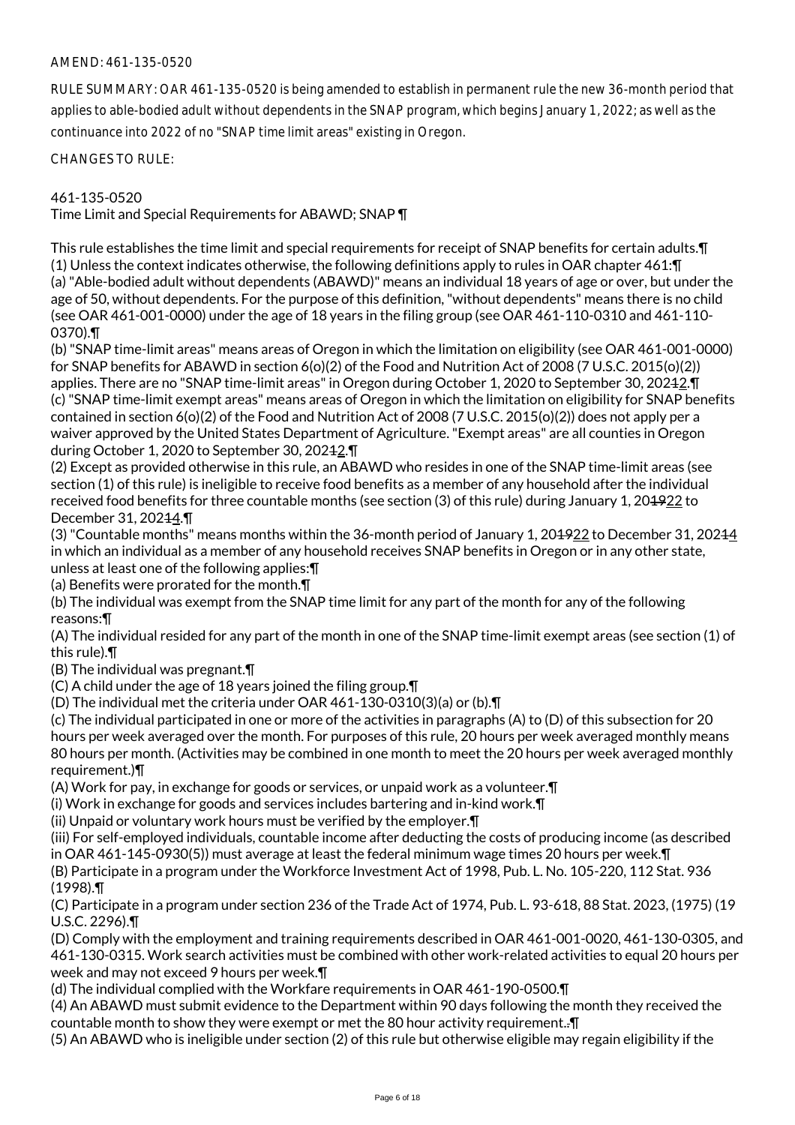# AMEND: 461-135-0520

RULE SUMMARY: OAR 461-135-0520 is being amended to establish in permanent rule the new 36-month period that applies to able-bodied adult without dependents in the SNAP program, which begins January 1, 2022; as well as the continuance into 2022 of no "SNAP time limit areas" existing in Oregon.

CHANGES TO RULE:

# 461-135-0520

Time Limit and Special Requirements for ABAWD; SNAP ¶

This rule establishes the time limit and special requirements for receipt of SNAP benefits for certain adults.¶ (1) Unless the context indicates otherwise, the following definitions apply to rules in OAR chapter 461:¶ (a) "Able-bodied adult without dependents (ABAWD)" means an individual 18 years of age or over, but under the age of 50, without dependents. For the purpose of this definition, "without dependents" means there is no child (see OAR 461-001-0000) under the age of 18 years in the filing group (see OAR 461-110-0310 and 461-110- 0370).¶

(b) "SNAP time-limit areas" means areas of Oregon in which the limitation on eligibility (see OAR 461-001-0000) for SNAP benefits for ABAWD in section 6(o)(2) of the Food and Nutrition Act of 2008 (7 U.S.C. 2015(o)(2)) applies. There are no "SNAP time-limit areas" in Oregon during October 1, 2020 to September 30, 20242. The (c) "SNAP time-limit exempt areas" means areas of Oregon in which the limitation on eligibility for SNAP benefits contained in section 6(o)(2) of the Food and Nutrition Act of 2008 (7 U.S.C. 2015(o)(2)) does not apply per a waiver approved by the United States Department of Agriculture. "Exempt areas" are all counties in Oregon during October 1, 2020 to September 30, 20212.¶

(2) Except as provided otherwise in this rule, an ABAWD who resides in one of the SNAP time-limit areas (see section (1) of this rule) is ineligible to receive food benefits as a member of any household after the individual received food benefits for three countable months (see section (3) of this rule) during January 1, 20<del>1922</del> to December 31, 20244.¶

(3) "Countable months" means months within the 36-month period of January 1, 20<del>1922</del> to December 31, 20244 in which an individual as a member of any household receives SNAP benefits in Oregon or in any other state, unless at least one of the following applies:¶

(a) Benefits were prorated for the month.¶

(b) The individual was exempt from the SNAP time limit for any part of the month for any of the following reasons:¶

(A) The individual resided for any part of the month in one of the SNAP time-limit exempt areas (see section (1) of this rule).¶

(B) The individual was pregnant.¶

(C) A child under the age of 18 years joined the filing group.¶

(D) The individual met the criteria under OAR 461-130-0310(3)(a) or (b).¶

(c) The individual participated in one or more of the activities in paragraphs (A) to (D) of this subsection for 20 hours per week averaged over the month. For purposes of this rule, 20 hours per week averaged monthly means 80 hours per month. (Activities may be combined in one month to meet the 20 hours per week averaged monthly requirement.)¶

(A) Work for pay, in exchange for goods or services, or unpaid work as a volunteer.¶

(i) Work in exchange for goods and services includes bartering and in-kind work.¶

(ii) Unpaid or voluntary work hours must be verified by the employer.¶

(iii) For self-employed individuals, countable income after deducting the costs of producing income (as described in OAR 461-145-0930(5)) must average at least the federal minimum wage times 20 hours per week.¶

(B) Participate in a program under the Workforce Investment Act of 1998, Pub. L. No. 105-220, 112 Stat. 936 (1998).¶

(C) Participate in a program under section 236 of the Trade Act of 1974, Pub. L. 93-618, 88 Stat. 2023, (1975) (19 U.S.C. 2296).¶

(D) Comply with the employment and training requirements described in OAR 461-001-0020, 461-130-0305, and 461-130-0315. Work search activities must be combined with other work-related activities to equal 20 hours per week and may not exceed 9 hours per week.¶

(d) The individual complied with the Workfare requirements in OAR 461-190-0500.¶

(4) An ABAWD must submit evidence to the Department within 90 days following the month they received the countable month to show they were exempt or met the 80 hour activity requirement..¶

(5) An ABAWD who is ineligible under section (2) of this rule but otherwise eligible may regain eligibility if the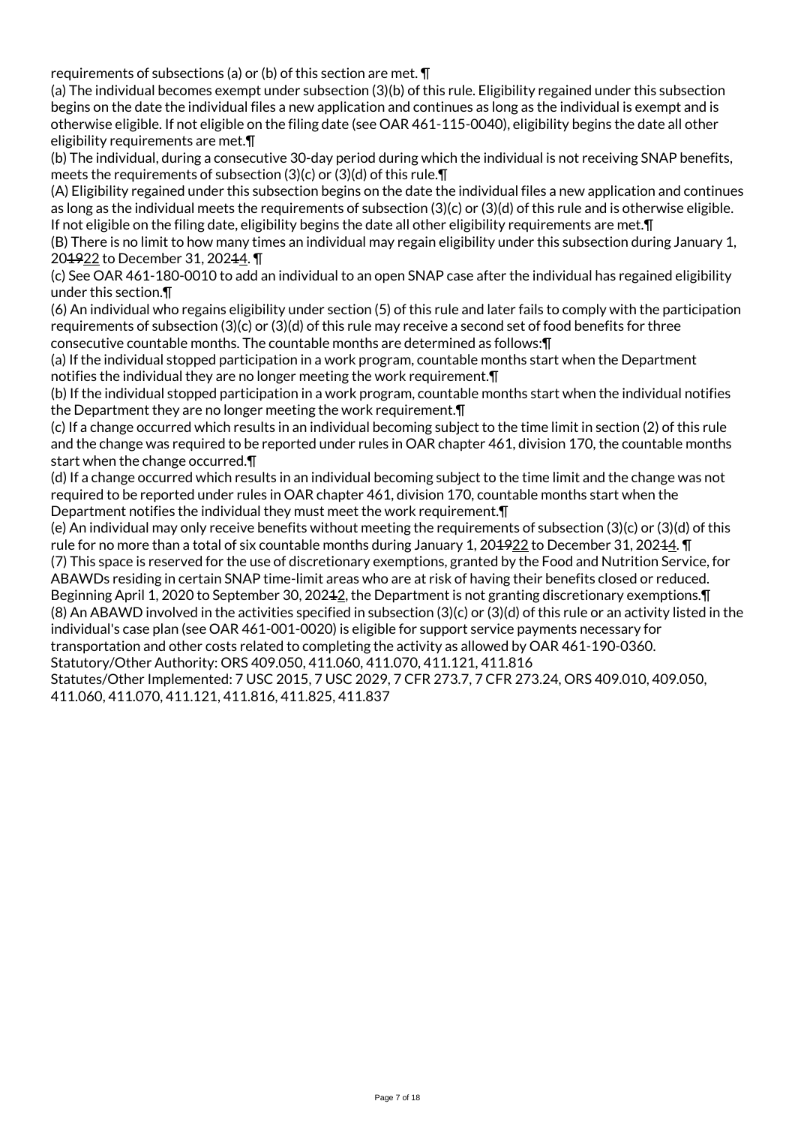requirements of subsections (a) or (b) of this section are met. ¶

(a) The individual becomes exempt under subsection (3)(b) of this rule. Eligibility regained under this subsection begins on the date the individual files a new application and continues as long as the individual is exempt and is otherwise eligible. If not eligible on the filing date (see OAR 461-115-0040), eligibility begins the date all other eligibility requirements are met.¶

(b) The individual, during a consecutive 30-day period during which the individual is not receiving SNAP benefits, meets the requirements of subsection (3)(c) or (3)(d) of this rule.¶

(A) Eligibility regained under this subsection begins on the date the individual files a new application and continues as long as the individual meets the requirements of subsection (3)(c) or (3)(d) of this rule and is otherwise eligible. If not eligible on the filing date, eligibility begins the date all other eligibility requirements are met.¶

(B) There is no limit to how many times an individual may regain eligibility under this subsection during January 1, 204922 to December 31, 20244.

(c) See OAR 461-180-0010 to add an individual to an open SNAP case after the individual has regained eligibility under this section.¶

(6) An individual who regains eligibility under section (5) of this rule and later fails to comply with the participation requirements of subsection (3)(c) or (3)(d) of this rule may receive a second set of food benefits for three consecutive countable months. The countable months are determined as follows:¶

(a) If the individual stopped participation in a work program, countable months start when the Department notifies the individual they are no longer meeting the work requirement.¶

(b) If the individual stopped participation in a work program, countable months start when the individual notifies the Department they are no longer meeting the work requirement.¶

(c) If a change occurred which results in an individual becoming subject to the time limit in section (2) of this rule and the change was required to be reported under rules in OAR chapter 461, division 170, the countable months start when the change occurred.¶

(d) If a change occurred which results in an individual becoming subject to the time limit and the change was not required to be reported under rules in OAR chapter 461, division 170, countable months start when the Department notifies the individual they must meet the work requirement.¶

(e) An individual may only receive benefits without meeting the requirements of subsection (3)(c) or (3)(d) of this rule for no more than a total of six countable months during January 1, 20<del>1922</del> to December 31, 202<del>1</del>4. T

(7) This space is reserved for the use of discretionary exemptions, granted by the Food and Nutrition Service, for ABAWDs residing in certain SNAP time-limit areas who are at risk of having their benefits closed or reduced. Beginning April 1, 2020 to September 30, 20212, the Department is not granting discretionary exemptions.¶ (8) An ABAWD involved in the activities specified in subsection (3)(c) or (3)(d) of this rule or an activity listed in the individual's case plan (see OAR 461-001-0020) is eligible for support service payments necessary for transportation and other costs related to completing the activity as allowed by OAR 461-190-0360.

Statutory/Other Authority: ORS 409.050, 411.060, 411.070, 411.121, 411.816

Statutes/Other Implemented: 7 USC 2015, 7 USC 2029, 7 CFR 273.7, 7 CFR 273.24, ORS 409.010, 409.050, 411.060, 411.070, 411.121, 411.816, 411.825, 411.837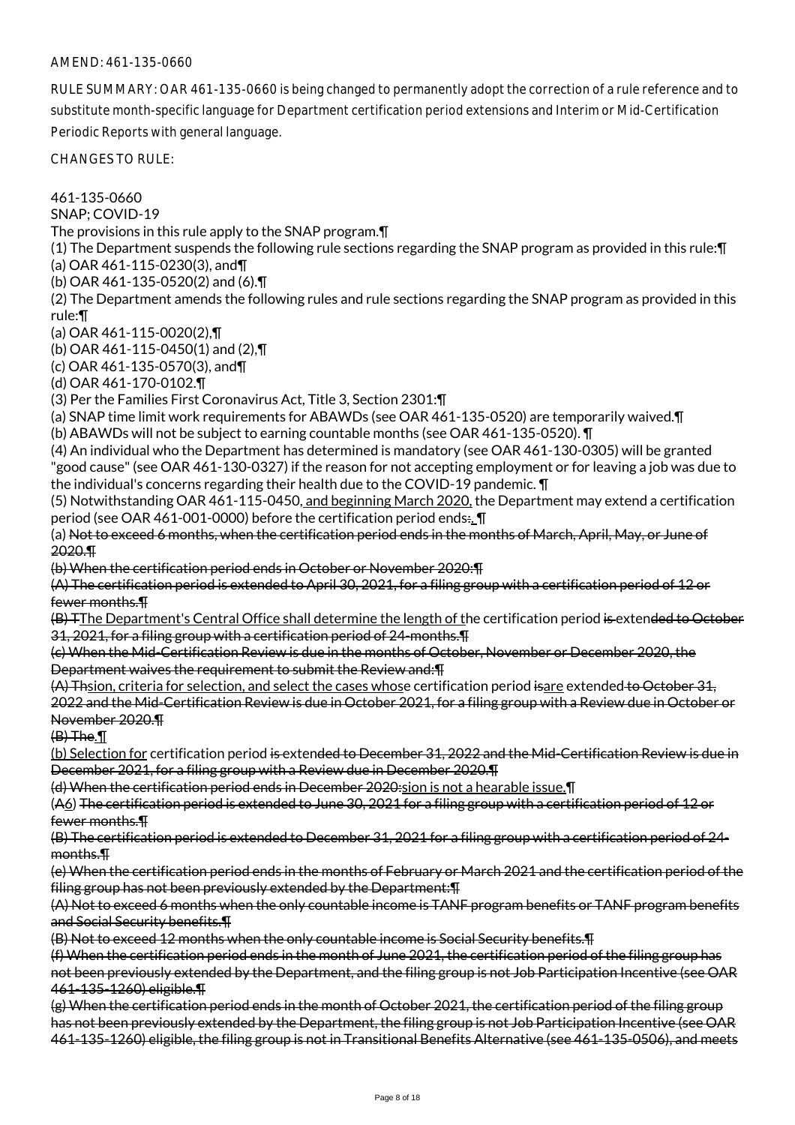## AMEND: 461-135-0660

RULE SUMMARY: OAR 461-135-0660 is being changed to permanently adopt the correction of a rule reference and to substitute month-specific language for Department certification period extensions and Interim or Mid-Certification Periodic Reports with general language.

CHANGES TO RULE:

461-135-0660 SNAP; COVID-19 The provisions in this rule apply to the SNAP program.¶ (1) The Department suspends the following rule sections regarding the SNAP program as provided in this rule:¶ (a) OAR 461-115-0230(3), and¶ (b) OAR 461-135-0520(2) and (6).¶ (2) The Department amends the following rules and rule sections regarding the SNAP program as provided in this rule:¶ (a) OAR 461-115-0020(2),¶ (b) OAR 461-115-0450(1) and (2),¶ (c) OAR 461-135-0570(3), and¶ (d) OAR 461-170-0102.¶ (3) Per the Families First Coronavirus Act, Title 3, Section 2301:¶ (a) SNAP time limit work requirements for ABAWDs (see OAR 461-135-0520) are temporarily waived.¶ (b) ABAWDs will not be subject to earning countable months (see OAR 461-135-0520). ¶ (4) An individual who the Department has determined is mandatory (see OAR 461-130-0305) will be granted "good cause" (see OAR 461-130-0327) if the reason for not accepting employment or for leaving a job was due to the individual's concerns regarding their health due to the COVID-19 pandemic. ¶ (5) Notwithstanding OAR 461-115-0450, and beginning March 2020, the Department may extend a certification period (see OAR 461-001-0000) before the certification period ends:.. I (a) Not to exceed 6 months, when the certification period ends in the months of March, April, May, or June of 2020.¶ (b) When the certification period ends in October or November 2020:¶ (A) The certification period is extended to April 30, 2021, for a filing group with a certification period of 12 or fewer months.¶ (B) TThe Department's Central Office shall determine the length of the certification period is extended to October 31, 2021, for a filing group with a certification period of 24-months.¶ (c) When the Mid-Certification Review is due in the months of October, November or December 2020, the Department waives the requirement to submit the Review and:¶ (A) Thsion, criteria for selection, and select the cases whose certification period isare extended to October 31, 2022 and the Mid-Certification Review is due in October 2021, for a filing group with a Review due in October or November 2020.¶ (B) The.¶ (b) Selection for certification period is extended to December 31, 2022 and the Mid-Certification Review is due in December 2021, for a filing group with a Review due in December 2020.¶ (d) When the certification period ends in December 2020:sion is not a hearable issue.¶ (A6) The certification period is extended to June 30, 2021 for a filing group with a certification period of 12 or fewer months.¶ (B) The certification period is extended to December 31, 2021 for a filing group with a certification period of 24 months.¶ (e) When the certification period ends in the months of February or March 2021 and the certification period of the filing group has not been previously extended by the Department:¶ (A) Not to exceed 6 months when the only countable income is TANF program benefits or TANF program benefits and Social Security benefits.¶ (B) Not to exceed 12 months when the only countable income is Social Security benefits.¶ (f) When the certification period ends in the month of June 2021, the certification period of the filing group has not been previously extended by the Department, and the filing group is not Job Participation Incentive (see OAR 461-135-1260) eligible.¶ (g) When the certification period ends in the month of October 2021, the certification period of the filing group has not been previously extended by the Department, the filing group is not Job Participation Incentive (see OAR

461-135-1260) eligible, the filing group is not in Transitional Benefits Alternative (see 461-135-0506), and meets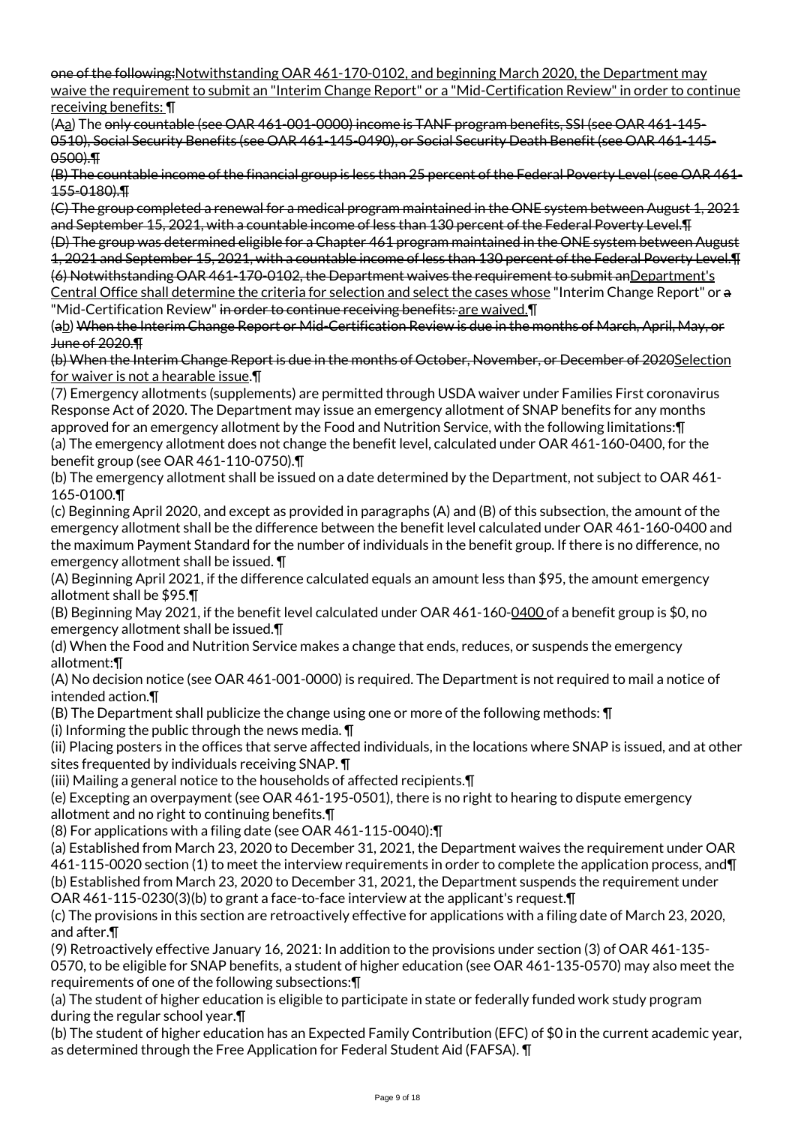one of the following:Notwithstanding OAR 461-170-0102, and beginning March 2020, the Department may waive the requirement to submit an "Interim Change Report" or a "Mid-Certification Review" in order to continue receiving benefits: ¶

(Aa) The only countable (see OAR 461-001-0000) income is TANF program benefits, SSI (see OAR 461-145- 0510), Social Security Benefits (see OAR 461-145-0490), or Social Security Death Benefit (see OAR 461-145- 0500).¶

(B) The countable income of the financial group is less than 25 percent of the Federal Poverty Level (see OAR 461- 155-0180).¶

(C) The group completed a renewal for a medical program maintained in the ONE system between August 1, 2021 and September 15, 2021, with a countable income of less than 130 percent of the Federal Poverty Level.¶

(D) The group was determined eligible for a Chapter 461 program maintained in the ONE system between August 1, 2021 and September 15, 2021, with a countable income of less than 130 percent of the Federal Poverty Level.¶ (6) Notwithstanding OAR 461-170-0102, the Department waives the requirement to submit anDepartment's Central Office shall determine the criteria for selection and select the cases whose "Interim Change Report" or a "Mid-Certification Review" in order to continue receiving benefits: are waived. I

(ab) When the Interim Change Report or Mid-Certification Review is due in the months of March, April, May, or June of 2020.¶

(b) When the Interim Change Report is due in the months of October, November, or December of 2020Selection for waiver is not a hearable issue.¶

(7) Emergency allotments (supplements) are permitted through USDA waiver under Families First coronavirus Response Act of 2020. The Department may issue an emergency allotment of SNAP benefits for any months approved for an emergency allotment by the Food and Nutrition Service, with the following limitations:¶ (a) The emergency allotment does not change the benefit level, calculated under OAR 461-160-0400, for the benefit group (see OAR 461-110-0750).¶

(b) The emergency allotment shall be issued on a date determined by the Department, not subject to OAR 461- 165-0100.¶

(c) Beginning April 2020, and except as provided in paragraphs (A) and (B) of this subsection, the amount of the emergency allotment shall be the difference between the benefit level calculated under OAR 461-160-0400 and the maximum Payment Standard for the number of individuals in the benefit group. If there is no difference, no emergency allotment shall be issued. ¶

(A) Beginning April 2021, if the difference calculated equals an amount less than \$95, the amount emergency allotment shall be \$95.¶

(B) Beginning May 2021, if the benefit level calculated under OAR 461-160-0400 of a benefit group is \$0, no emergency allotment shall be issued.¶

(d) When the Food and Nutrition Service makes a change that ends, reduces, or suspends the emergency allotment:¶

(A) No decision notice (see OAR 461-001-0000) is required. The Department is not required to mail a notice of intended action.¶

(B) The Department shall publicize the change using one or more of the following methods: ¶

(i) Informing the public through the news media.  $\P$ 

(ii) Placing posters in the offices that serve affected individuals, in the locations where SNAP is issued, and at other sites frequented by individuals receiving SNAP. ¶

(iii) Mailing a general notice to the households of affected recipients.¶

(e) Excepting an overpayment (see OAR 461-195-0501), there is no right to hearing to dispute emergency allotment and no right to continuing benefits.¶

(8) For applications with a filing date (see OAR 461-115-0040):¶

(a) Established from March 23, 2020 to December 31, 2021, the Department waives the requirement under OAR 461-115-0020 section (1) to meet the interview requirements in order to complete the application process, and¶ (b) Established from March 23, 2020 to December 31, 2021, the Department suspends the requirement under OAR 461-115-0230(3)(b) to grant a face-to-face interview at the applicant's request.¶

(c) The provisions in this section are retroactively effective for applications with a filing date of March 23, 2020, and after.¶

(9) Retroactively effective January 16, 2021: In addition to the provisions under section (3) of OAR 461-135- 0570, to be eligible for SNAP benefits, a student of higher education (see OAR 461-135-0570) may also meet the requirements of one of the following subsections:¶

(a) The student of higher education is eligible to participate in state or federally funded work study program during the regular school year.¶

(b) The student of higher education has an Expected Family Contribution (EFC) of \$0 in the current academic year, as determined through the Free Application for Federal Student Aid (FAFSA). ¶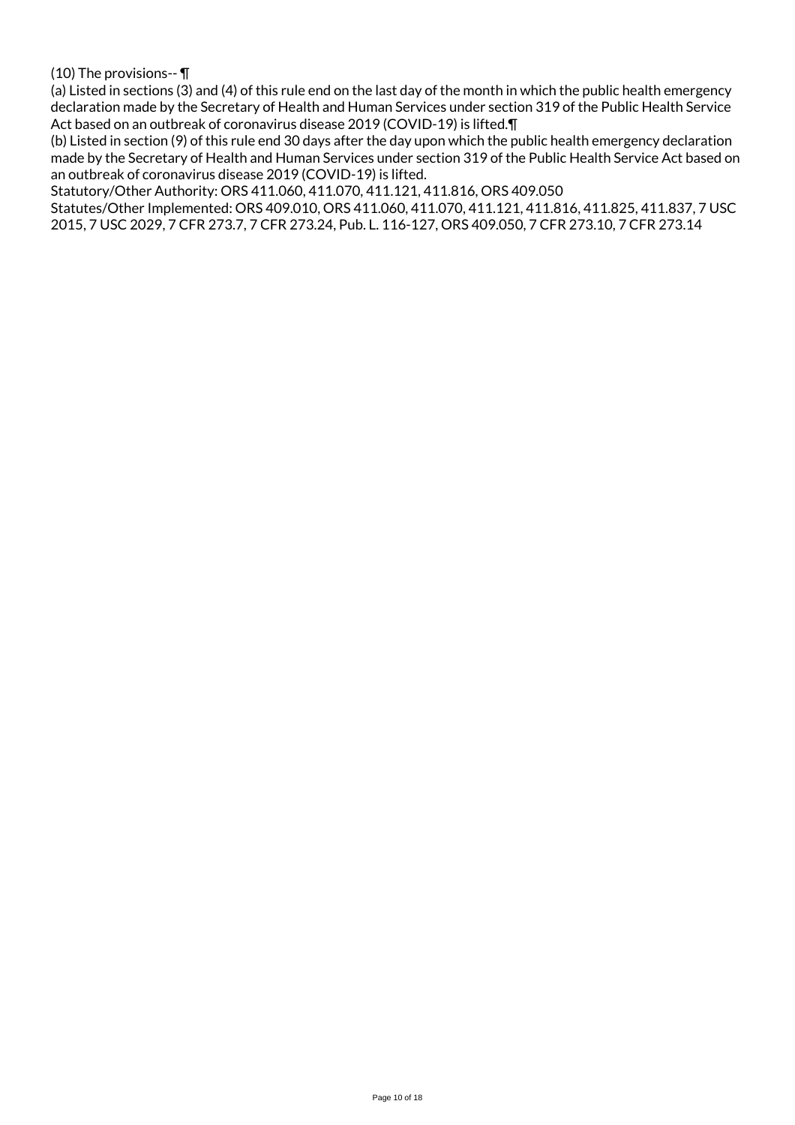(10) The provisions-- ¶

(a) Listed in sections (3) and (4) of this rule end on the last day of the month in which the public health emergency declaration made by the Secretary of Health and Human Services under section 319 of the Public Health Service Act based on an outbreak of coronavirus disease 2019 (COVID-19) is lifted.¶

(b) Listed in section (9) of this rule end 30 days after the day upon which the public health emergency declaration made by the Secretary of Health and Human Services under section 319 of the Public Health Service Act based on an outbreak of coronavirus disease 2019 (COVID-19) is lifted.

Statutory/Other Authority: ORS 411.060, 411.070, 411.121, 411.816, ORS 409.050

Statutes/Other Implemented: ORS 409.010, ORS 411.060, 411.070, 411.121, 411.816, 411.825, 411.837, 7 USC 2015, 7 USC 2029, 7 CFR 273.7, 7 CFR 273.24, Pub. L. 116-127, ORS 409.050, 7 CFR 273.10, 7 CFR 273.14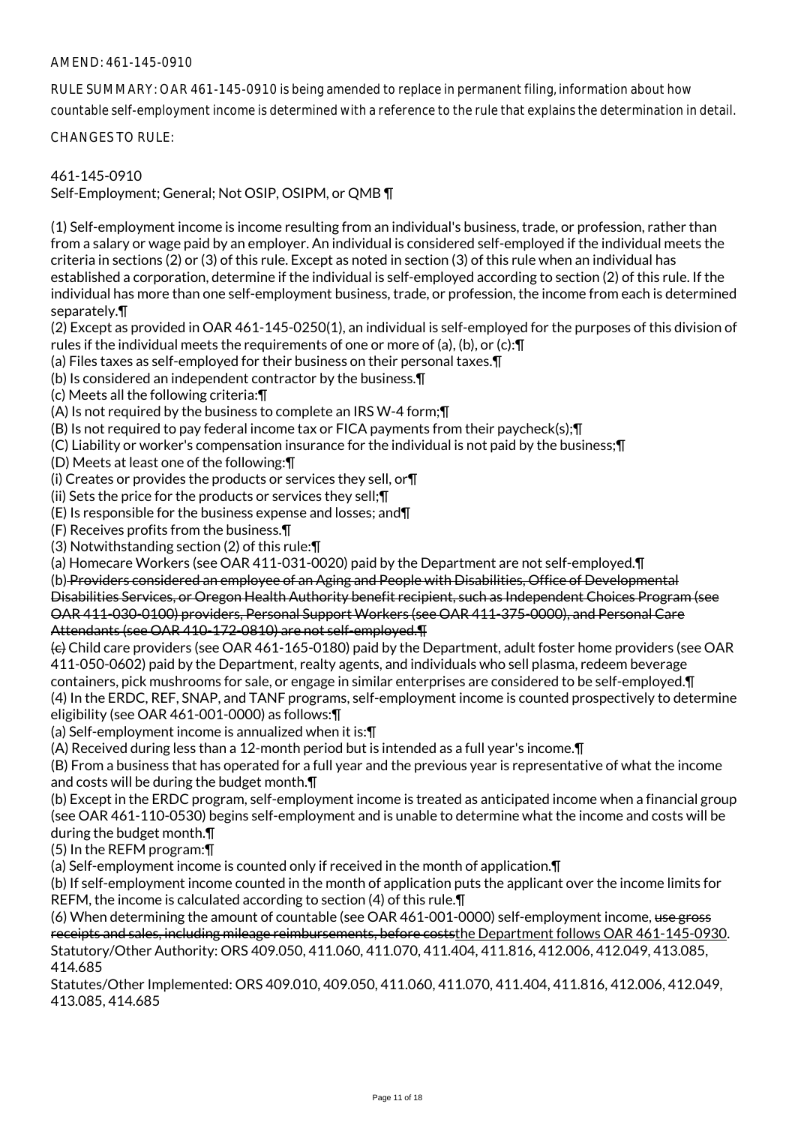# AMEND: 461-145-0910

RULE SUMMARY: OAR 461-145-0910 is being amended to replace in permanent filing, information about how countable self-employment income is determined with a reference to the rule that explains the determination in detail.

CHANGES TO RULE:

## 461-145-0910

Self-Employment; General; Not OSIP, OSIPM, or QMB ¶

(1) Self-employment income is income resulting from an individual's business, trade, or profession, rather than from a salary or wage paid by an employer. An individual is considered self-employed if the individual meets the criteria in sections (2) or (3) of this rule. Except as noted in section (3) of this rule when an individual has established a corporation, determine if the individual is self-employed according to section (2) of this rule. If the individual has more than one self-employment business, trade, or profession, the income from each is determined separately.¶

(2) Except as provided in OAR 461-145-0250(1), an individual is self-employed for the purposes of this division of rules if the individual meets the requirements of one or more of (a), (b), or (c):¶

(a) Files taxes as self-employed for their business on their personal taxes.¶

(b) Is considered an independent contractor by the business.¶

(c) Meets all the following criteria:¶

(A) Is not required by the business to complete an IRS W-4 form;¶

(B) Is not required to pay federal income tax or FICA payments from their paycheck(s);¶

(C) Liability or worker's compensation insurance for the individual is not paid by the business;¶

(D) Meets at least one of the following:¶

(i) Creates or provides the products or services they sell, or¶

(ii) Sets the price for the products or services they sell;¶

(E) Is responsible for the business expense and losses; and¶

(F) Receives profits from the business.¶

(3) Notwithstanding section (2) of this rule:¶

(a) Homecare Workers (see OAR 411-031-0020) paid by the Department are not self-employed.¶

(b) Providers considered an employee of an Aging and People with Disabilities, Office of Developmental

Disabilities Services, or Oregon Health Authority benefit recipient, such as Independent Choices Program (see OAR 411-030-0100) providers, Personal Support Workers (see OAR 411-375-0000), and Personal Care Attendants (see OAR 410-172-0810) are not self-employed.¶

 $\left\langle \epsilon \right\rangle$  Child care providers (see OAR 461-165-0180) paid by the Department, adult foster home providers (see OAR 411-050-0602) paid by the Department, realty agents, and individuals who sell plasma, redeem beverage containers, pick mushrooms for sale, or engage in similar enterprises are considered to be self-employed.¶ (4) In the ERDC, REF, SNAP, and TANF programs, self-employment income is counted prospectively to determine eligibility (see OAR 461-001-0000) as follows:¶

(a) Self-employment income is annualized when it is:¶

(A) Received during less than a 12-month period but is intended as a full year's income.¶

(B) From a business that has operated for a full year and the previous year is representative of what the income and costs will be during the budget month.¶

(b) Except in the ERDC program, self-employment income is treated as anticipated income when a financial group (see OAR 461-110-0530) begins self-employment and is unable to determine what the income and costs will be during the budget month.¶

(5) In the REFM program:¶

(a) Self-employment income is counted only if received in the month of application.¶

(b) If self-employment income counted in the month of application puts the applicant over the income limits for REFM, the income is calculated according to section (4) of this rule.¶

(6) When determining the amount of countable (see OAR 461-001-0000) self-employment income, use gross receipts and sales, including mileage reimbursements, before coststhe Department follows OAR 461-145-0930. Statutory/Other Authority: ORS 409.050, 411.060, 411.070, 411.404, 411.816, 412.006, 412.049, 413.085, 414.685

Statutes/Other Implemented: ORS 409.010, 409.050, 411.060, 411.070, 411.404, 411.816, 412.006, 412.049, 413.085, 414.685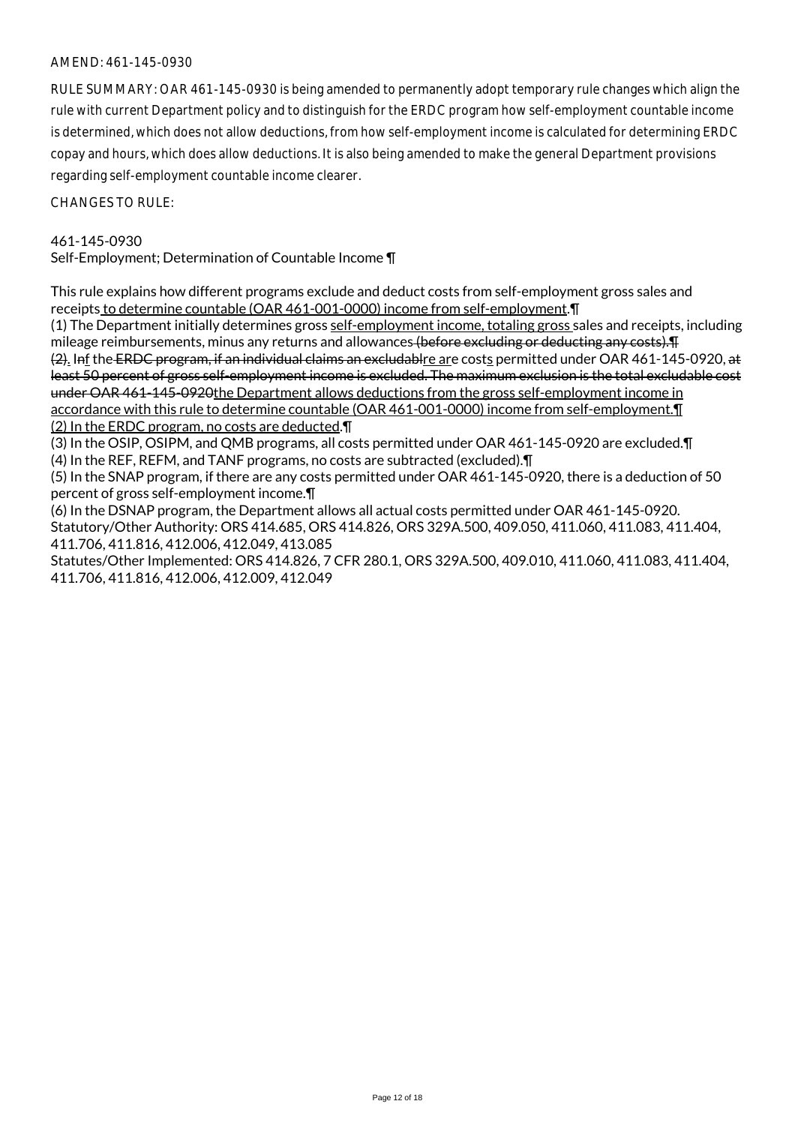## AMEND: 461-145-0930

RULE SUMMARY: OAR 461-145-0930 is being amended to permanently adopt temporary rule changes which align the rule with current Department policy and to distinguish for the ERDC program how self-employment countable income is determined, which does not allow deductions, from how self-employment income is calculated for determining ERDC copay and hours, which does allow deductions. It is also being amended to make the general Department provisions regarding self-employment countable income clearer.

CHANGES TO RULE:

## 461-145-0930

Self-Employment; Determination of Countable Income ¶

This rule explains how different programs exclude and deduct costs from self-employment gross sales and receipts to determine countable (OAR 461-001-0000) income from self-employment.¶

(1) The Department initially determines gross self-employment income, totaling gross sales and receipts, including mileage reimbursements, minus any returns and allowances (before excluding or deducting any costs). (2). Inf the ERDC program, if an individual claims an excludablre are costs permitted under OAR 461-145-0920, at

least 50 percent of gross self-employment income is excluded. The maximum exclusion is the total excludable cost under OAR 461-145-0920the Department allows deductions from the gross self-employment income in

accordance with this rule to determine countable (OAR 461-001-0000) income from self-employment.¶ (2) In the ERDC program, no costs are deducted.¶

(3) In the OSIP, OSIPM, and QMB programs, all costs permitted under OAR 461-145-0920 are excluded.¶ (4) In the REF, REFM, and TANF programs, no costs are subtracted (excluded).¶

(5) In the SNAP program, if there are any costs permitted under OAR 461-145-0920, there is a deduction of 50 percent of gross self-employment income.¶

(6) In the DSNAP program, the Department allows all actual costs permitted under OAR 461-145-0920. Statutory/Other Authority: ORS 414.685, ORS 414.826, ORS 329A.500, 409.050, 411.060, 411.083, 411.404, 411.706, 411.816, 412.006, 412.049, 413.085

Statutes/Other Implemented: ORS 414.826, 7 CFR 280.1, ORS 329A.500, 409.010, 411.060, 411.083, 411.404, 411.706, 411.816, 412.006, 412.009, 412.049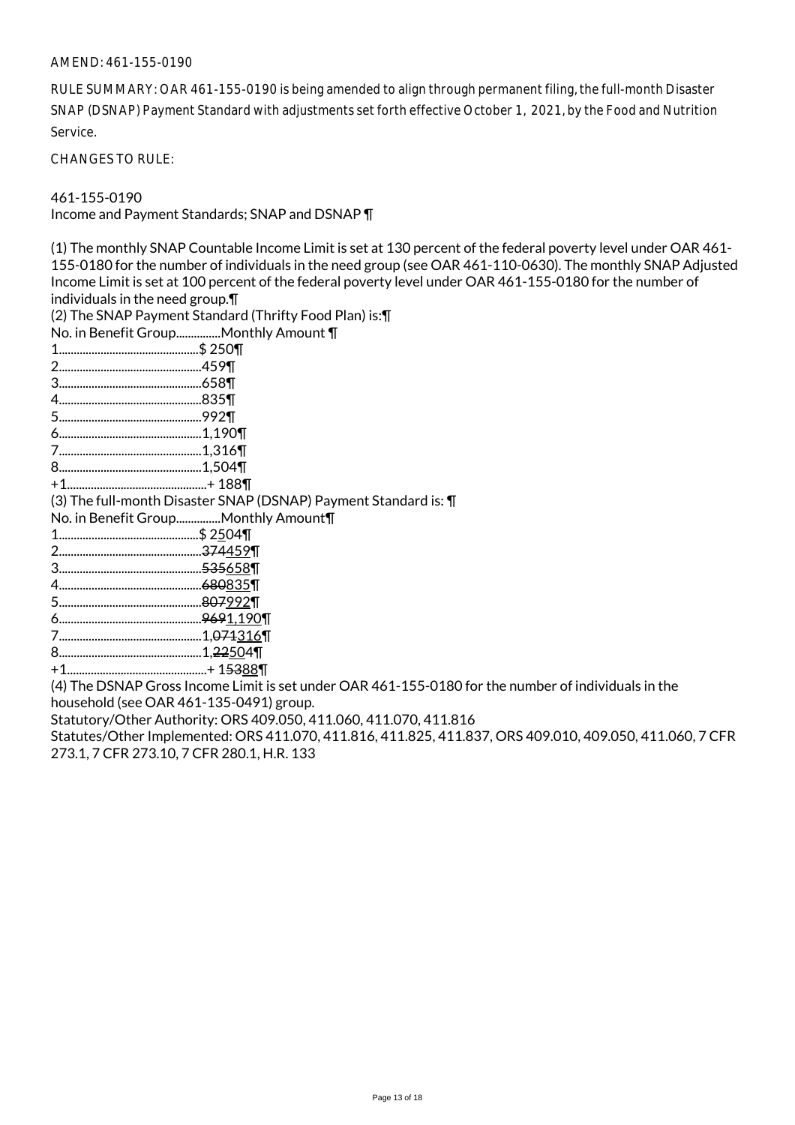#### AMEND: 461-155-0190

RULE SUMMARY: OAR 461-155-0190 is being amended to align through permanent filing, the full-month Disaster SNAP (DSNAP) Payment Standard with adjustments set forth effective October 1, 2021, by the Food and Nutrition Service.

CHANGES TO RULE:

461-155-0190

Income and Payment Standards; SNAP and DSNAP ¶

(1) The monthly SNAP Countable Income Limit is set at 130 percent of the federal poverty level under OAR 461- 155-0180 for the number of individuals in the need group (see OAR 461-110-0630). The monthly SNAP Adjusted Income Limit is set at 100 percent of the federal poverty level under OAR 461-155-0180 for the number of individuals in the need group.¶

(2) The SNAP Payment Standard (Thrifty Food Plan) is:¶

- No. in Benefit Group...............Monthly Amount ¶
- 1...............................................\$ 250¶
- 2................................................459¶
- 3................................................658¶
- 4................................................835¶
- 5................................................992¶
- 6................................................1,190¶
- 7................................................1,316¶
- 8................................................1,504¶
- +1...............................................+ 188¶

(3) The full-month Disaster SNAP (DSNAP) Payment Standard is: ¶

No. in Benefit Group...............Monthly Amount¶

- 1...............................................\$ 2504¶
- 2................................................374459¶
- 3................................................535658¶
- 4................................................680835¶
- 5................................................807992¶
- 6................................................9691,190¶
- 7................................................1,071316¶
- 8................................................1,22504¶
- +1...............................................+ 15388¶

(4) The DSNAP Gross Income Limit is set under OAR 461-155-0180 for the number of individuals in the household (see OAR 461-135-0491) group.

Statutory/Other Authority: ORS 409.050, 411.060, 411.070, 411.816

Statutes/Other Implemented: ORS 411.070, 411.816, 411.825, 411.837, ORS 409.010, 409.050, 411.060, 7 CFR 273.1, 7 CFR 273.10, 7 CFR 280.1, H.R. 133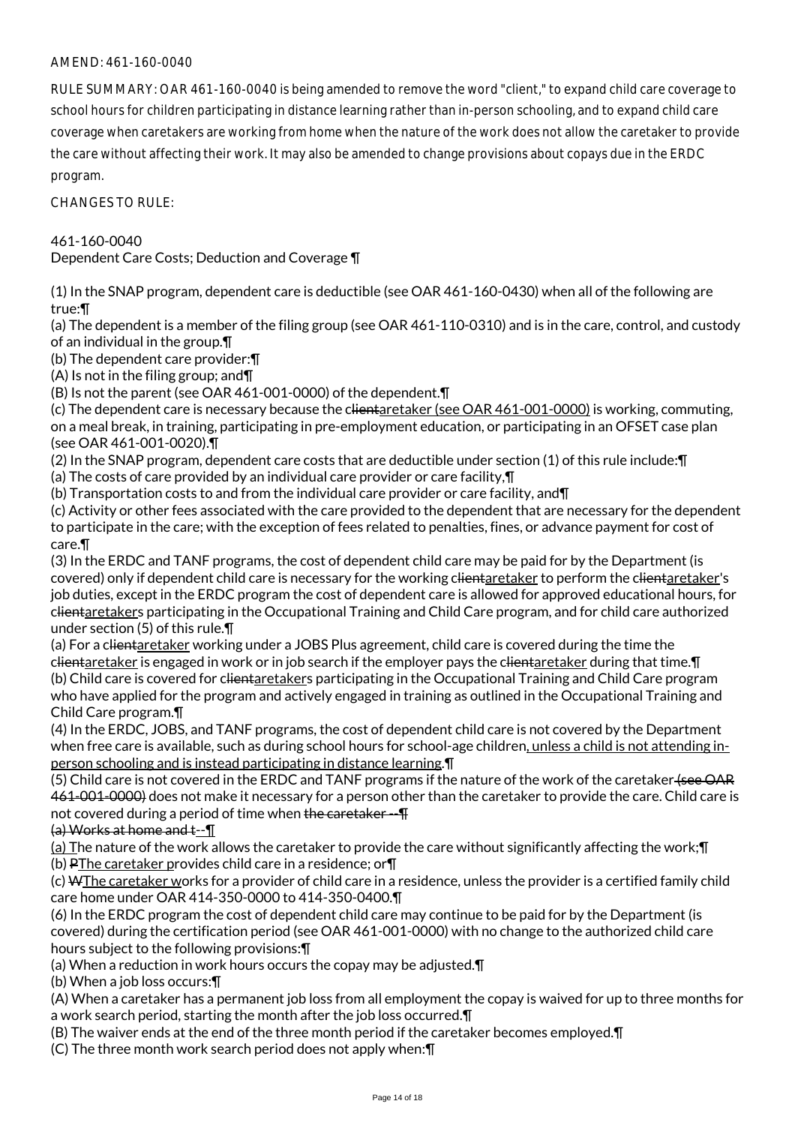# AMEND: 461-160-0040

RULE SUMMARY: OAR 461-160-0040 is being amended to remove the word "client," to expand child care coverage to school hours for children participating in distance learning rather than in-person schooling, and to expand child care coverage when caretakers are working from home when the nature of the work does not allow the caretaker to provide the care without affecting their work. It may also be amended to change provisions about copays due in the ERDC program.

CHANGES TO RULE:

461-160-0040

Dependent Care Costs; Deduction and Coverage ¶

(1) In the SNAP program, dependent care is deductible (see OAR 461-160-0430) when all of the following are true:¶

(a) The dependent is a member of the filing group (see OAR 461-110-0310) and is in the care, control, and custody of an individual in the group.¶

(b) The dependent care provider:¶

(A) Is not in the filing group; and¶

(B) Is not the parent (see OAR 461-001-0000) of the dependent.¶

(c) The dependent care is necessary because the clientaretaker (see OAR 461-001-0000) is working, commuting, on a meal break, in training, participating in pre-employment education, or participating in an OFSET case plan (see OAR 461-001-0020).¶

(2) In the SNAP program, dependent care costs that are deductible under section (1) of this rule include:¶

(a) The costs of care provided by an individual care provider or care facility,¶

(b) Transportation costs to and from the individual care provider or care facility, and¶

(c) Activity or other fees associated with the care provided to the dependent that are necessary for the dependent to participate in the care; with the exception of fees related to penalties, fines, or advance payment for cost of care.¶

(3) In the ERDC and TANF programs, the cost of dependent child care may be paid for by the Department (is covered) only if dependent child care is necessary for the working clientaretaker to perform the clientaretaker's job duties, except in the ERDC program the cost of dependent care is allowed for approved educational hours, for clientaretakers participating in the Occupational Training and Child Care program, and for child care authorized under section (5) of this rule.¶

(a) For a clientaretaker working under a JOBS Plus agreement, child care is covered during the time the clientaretaker is engaged in work or in job search if the employer pays the clientaretaker during that time. I (b) Child care is covered for clientaretakers participating in the Occupational Training and Child Care program who have applied for the program and actively engaged in training as outlined in the Occupational Training and Child Care program.¶

(4) In the ERDC, JOBS, and TANF programs, the cost of dependent child care is not covered by the Department when free care is available, such as during school hours for school-age children, unless a child is not attending inperson schooling and is instead participating in distance learning.¶

(5) Child care is not covered in the ERDC and TANF programs if the nature of the work of the caretaker (see OAR 461-001-0000) does not make it necessary for a person other than the caretaker to provide the care. Child care is not covered during a period of time when the caretaker --  $\text{T}$ 

(a) Works at home and t--¶

(a) The nature of the work allows the caretaker to provide the care without significantly affecting the work;¶ (b) PThe caretaker provides child care in a residence; or¶

(c) WThe caretaker works for a provider of child care in a residence, unless the provider is a certified family child care home under OAR 414-350-0000 to 414-350-0400.¶

(6) In the ERDC program the cost of dependent child care may continue to be paid for by the Department (is covered) during the certification period (see OAR 461-001-0000) with no change to the authorized child care hours subject to the following provisions:¶

(a) When a reduction in work hours occurs the copay may be adjusted.¶

(b) When a job loss occurs:¶

(A) When a caretaker has a permanent job loss from all employment the copay is waived for up to three months for a work search period, starting the month after the job loss occurred.¶

(B) The waiver ends at the end of the three month period if the caretaker becomes employed.¶

(C) The three month work search period does not apply when:¶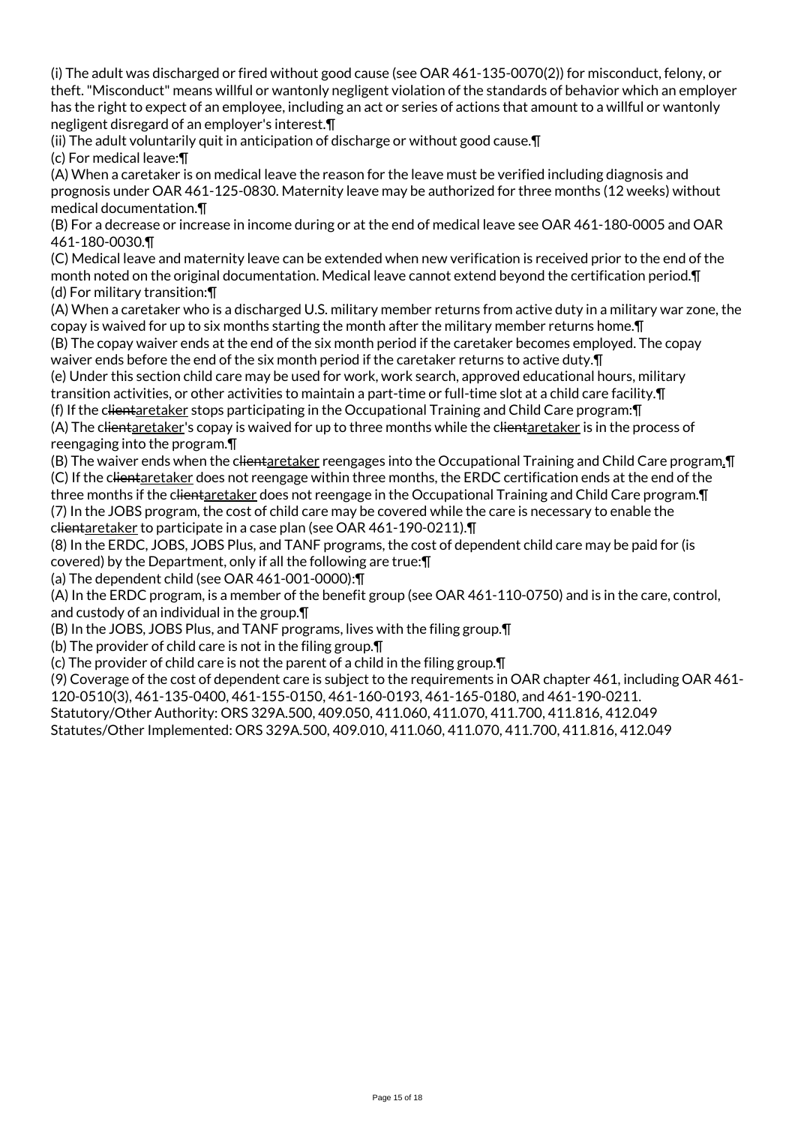(i) The adult was discharged or fired without good cause (see OAR 461-135-0070(2)) for misconduct, felony, or theft. "Misconduct" means willful or wantonly negligent violation of the standards of behavior which an employer has the right to expect of an employee, including an act or series of actions that amount to a willful or wantonly negligent disregard of an employer's interest.¶

(ii) The adult voluntarily quit in anticipation of discharge or without good cause.¶

(c) For medical leave:¶

(A) When a caretaker is on medical leave the reason for the leave must be verified including diagnosis and prognosis under OAR 461-125-0830. Maternity leave may be authorized for three months (12 weeks) without medical documentation.¶

(B) For a decrease or increase in income during or at the end of medical leave see OAR 461-180-0005 and OAR 461-180-0030.¶

(C) Medical leave and maternity leave can be extended when new verification is received prior to the end of the month noted on the original documentation. Medical leave cannot extend beyond the certification period.¶ (d) For military transition:¶

(A) When a caretaker who is a discharged U.S. military member returns from active duty in a military war zone, the copay is waived for up to six months starting the month after the military member returns home.¶

(B) The copay waiver ends at the end of the six month period if the caretaker becomes employed. The copay waiver ends before the end of the six month period if the caretaker returns to active duty.¶

(e) Under this section child care may be used for work, work search, approved educational hours, military transition activities, or other activities to maintain a part-time or full-time slot at a child care facility.¶

(f) If the clientaretaker stops participating in the Occupational Training and Child Care program:¶

(A) The clientaretaker's copay is waived for up to three months while the clientaretaker is in the process of reengaging into the program.¶

(B) The waiver ends when the clientaretaker reengages into the Occupational Training and Child Care program.¶ (C) If the clientaretaker does not reengage within three months, the ERDC certification ends at the end of the three months if the c<del>lient</del>aretaker does not reengage in the Occupational Training and Child Care program. **T** (7) In the JOBS program, the cost of child care may be covered while the care is necessary to enable the clientaretaker to participate in a case plan (see OAR 461-190-0211).¶

(8) In the ERDC, JOBS, JOBS Plus, and TANF programs, the cost of dependent child care may be paid for (is covered) by the Department, only if all the following are true:¶

(a) The dependent child (see OAR 461-001-0000):¶

(A) In the ERDC program, is a member of the benefit group (see OAR 461-110-0750) and is in the care, control, and custody of an individual in the group.¶

(B) In the JOBS, JOBS Plus, and TANF programs, lives with the filing group.¶

(b) The provider of child care is not in the filing group.¶

(c) The provider of child care is not the parent of a child in the filing group.¶

(9) Coverage of the cost of dependent care is subject to the requirements in OAR chapter 461, including OAR 461- 120-0510(3), 461-135-0400, 461-155-0150, 461-160-0193, 461-165-0180, and 461-190-0211.

Statutory/Other Authority: ORS 329A.500, 409.050, 411.060, 411.070, 411.700, 411.816, 412.049

Statutes/Other Implemented: ORS 329A.500, 409.010, 411.060, 411.070, 411.700, 411.816, 412.049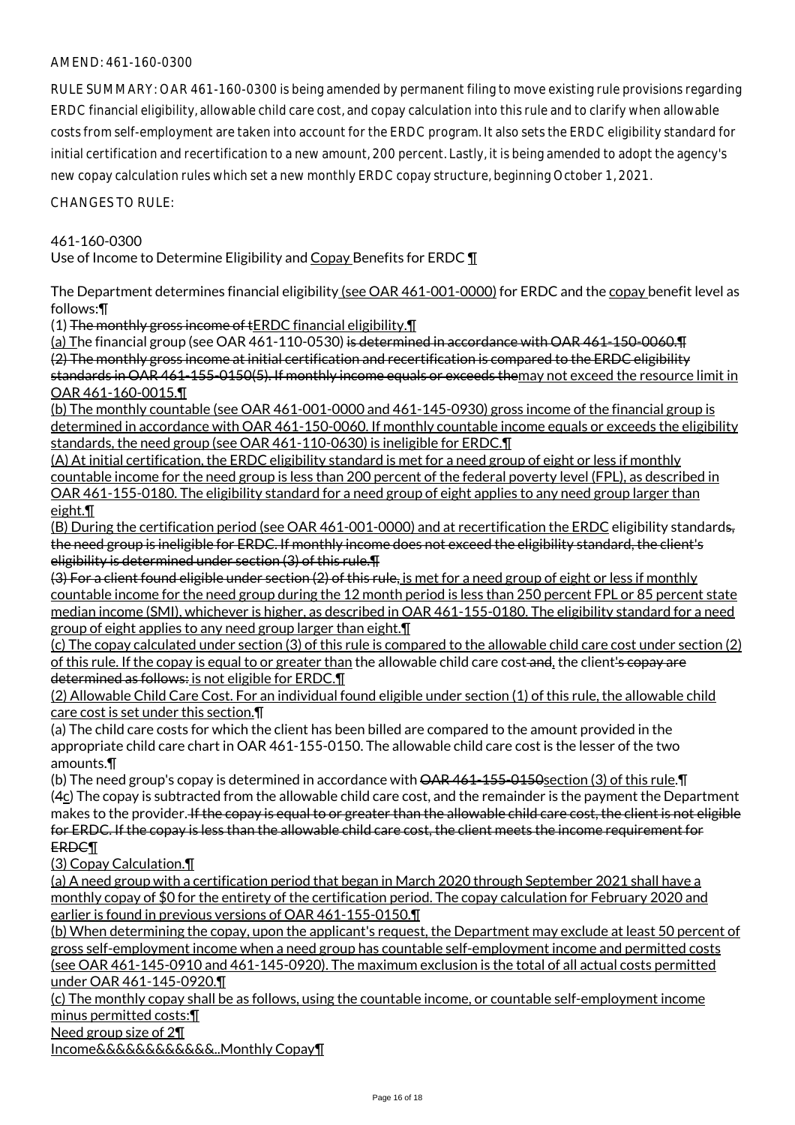# AMEND: 461-160-0300

RULE SUMMARY: OAR 461-160-0300 is being amended by permanent filing to move existing rule provisions regarding ERDC financial eligibility, allowable child care cost, and copay calculation into this rule and to clarify when allowable costs from self-employment are taken into account for the ERDC program. It also sets the ERDC eligibility standard for initial certification and recertification to a new amount, 200 percent. Lastly, it is being amended to adopt the agency's new copay calculation rules which set a new monthly ERDC copay structure, beginning October 1, 2021.

CHANGES TO RULE:

## 461-160-0300

Use of Income to Determine Eligibility and Copay Benefits for ERDC \[

The Department determines financial eligibility (see OAR 461-001-0000) for ERDC and the copay benefit level as follows:¶

(1) The monthly gross income of tERDC financial eligibility.¶

(a) The financial group (see OAR 461-110-0530) is determined in accordance with OAR 461-150-0060. T (2) The monthly gross income at initial certification and recertification is compared to the ERDC eligibility standards in OAR 461-155-0150(5). If monthly income equals or exceeds themay not exceed the resource limit in OAR 461-160-0015.¶

(b) The monthly countable (see OAR 461-001-0000 and 461-145-0930) gross income of the financial group is determined in accordance with OAR 461-150-0060. If monthly countable income equals or exceeds the eligibility standards, the need group (see OAR 461-110-0630) is ineligible for ERDC.¶

(A) At initial certification, the ERDC eligibility standard is met for a need group of eight or less if monthly countable income for the need group is less than 200 percent of the federal poverty level (FPL), as described in OAR 461-155-0180. The eligibility standard for a need group of eight applies to any need group larger than eight.¶

(B) During the certification period (see OAR 461-001-0000) and at recertification the ERDC eligibility standards, the need group is ineligible for ERDC. If monthly income does not exceed the eligibility standard, the client's eligibility is determined under section (3) of this rule.¶

(3) For a client found eligible under section (2) of this rule, is met for a need group of eight or less if monthly countable income for the need group during the 12 month period is less than 250 percent FPL or 85 percent state median income (SMI), whichever is higher, as described in OAR 461-155-0180. The eligibility standard for a need group of eight applies to any need group larger than eight.¶

(c) The copay calculated under section (3) of this rule is compared to the allowable child care cost under section (2) of this rule. If the copay is equal to or greater than the allowable child care cost-and, the client's copay are determined as follows: is not eligible for ERDC.¶

(2) Allowable Child Care Cost. For an individual found eligible under section (1) of this rule, the allowable child care cost is set under this section.¶

(a) The child care costs for which the client has been billed are compared to the amount provided in the appropriate child care chart in OAR 461-155-0150. The allowable child care cost is the lesser of the two amounts.¶

(b) The need group's copay is determined in accordance with  $\overline{\text{OAR}}$  461-155-0150section (3) of this rule. The  $(4c)$  The copay is subtracted from the allowable child care cost, and the remainder is the payment the Department makes to the provider. If the copay is equal to or greater than the allowable child care cost, the client is not eligible for ERDC. If the copay is less than the allowable child care cost, the client meets the income requirement for ERDC¶

(3) Copay Calculation.¶

(a) A need group with a certification period that began in March 2020 through September 2021 shall have a monthly copay of \$0 for the entirety of the certification period. The copay calculation for February 2020 and earlier is found in previous versions of OAR 461-155-0150.¶

(b) When determining the copay, upon the applicant's request, the Department may exclude at least 50 percent of gross self-employment income when a need group has countable self-employment income and permitted costs (see OAR 461-145-0910 and 461-145-0920). The maximum exclusion is the total of all actual costs permitted under OAR 461-145-0920.¶

(c) The monthly copay shall be as follows, using the countable income, or countable self-employment income minus permitted costs:¶

Need group size of 2¶

Income&&&&&&&&&&&&..Monthly Copay¶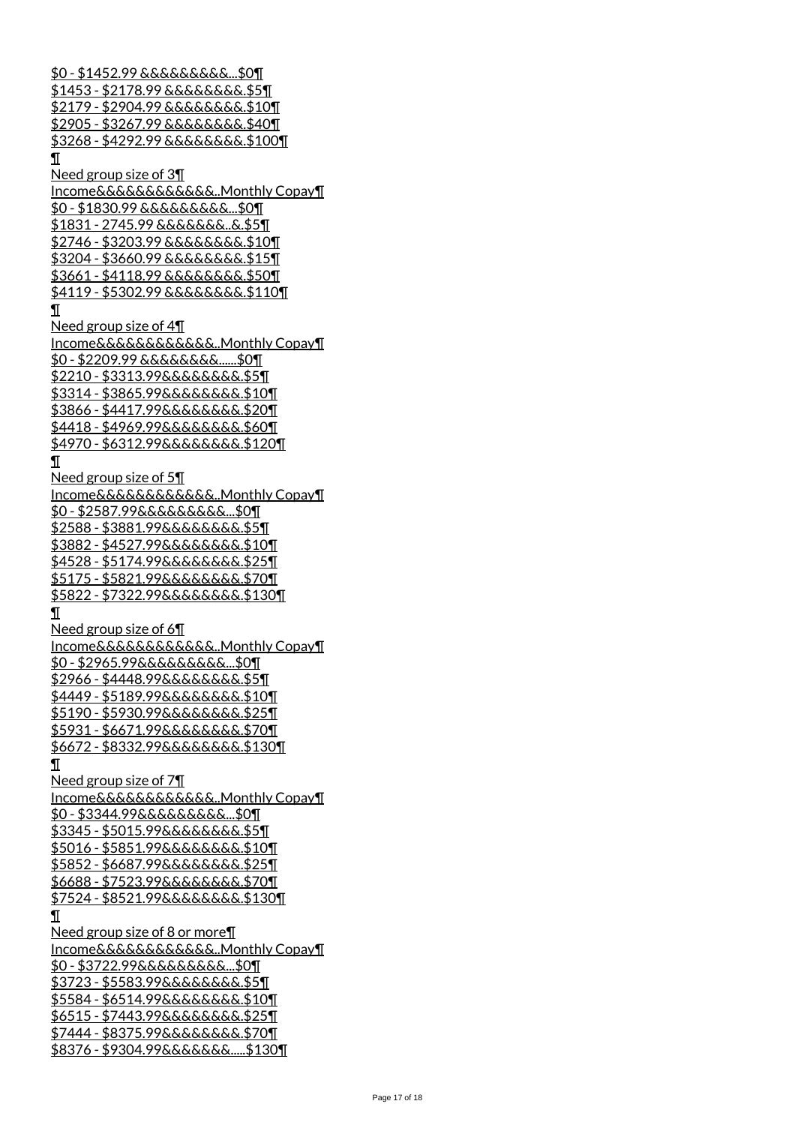\$0 - \$1452.99 &&&&&&&&&...\$0¶ <u>\$1453 - \$2178.99 &&&&&&&&.\$5¶</u> \$2179 - \$2904.99 &&&&&&&&.\$10¶ \$2905 - \$3267.99 &&&&&&&&.\$40¶ \$3268 - \$4292.99 &&&&&&&&.\$100¶ ¶ Need group size of 3¶ Income&&&&&&&&&&&&..Monthly Copay¶ \$0 - \$1830.99 &&&&&&&&&...\$0¶ <u>\$1831 - 2745.99 &&&&&&&..&.\$5¶</u> \$2746 - \$3203.99 &&&&&&&&.\$10¶ \$3204 - \$3660.99 &&&&&&&&.\$15¶ \$3661 - \$4118.99 &&&&&&&&.\$50¶ \$4119 - \$5302.99 &&&&&&&&.\$110¶ ¶ Need group size of 4¶ Income&&&&&&&&&&&&..Monthly Copay¶ \$0 - \$2209.99 &&&&&&&&......\$0¶ \$2210 - \$3313.99&&&&&&&&.\$5¶ \$3314 - \$3865.99&&&&&&&&.\$10¶ \$3866 - \$4417.99&&&&&&&&.\$20¶ \$4418 - \$4969.99&&&&&&&&.\$60¶ \$4970 - \$6312.99&&&&&&&&.\$120¶ ¶ Need group size of 5¶ Income&&&&&&&&&&&&..Monthly Copay¶ \$0 - \$2587.99&&&&&&&&&...\$0¶ \$2588 - \$3881.99&&&&&&&&.\$5¶ \$3882 - \$4527.99&&&&&&&&.\$10¶ \$4528 - \$5174.99&&&&&&&&.\$25¶ \$5175 - \$5821.99&&&&&&&&.\$70¶ \$5822 - \$7322.99&&&&&&&&.\$130¶ ¶ Need group size of 6¶ Income&&&&&&&&&&&&..Monthly Copay¶ \$0 - \$2965.99&&&&&&&&&...\$0¶ \$2966 - \$4448.99&&&&&&&&.\$5¶ \$4449 - \$5189.99&&&&&&&&.\$10¶ \$5190 - \$5930.99&&&&&&&&.\$25¶ \$5931 - \$6671.99&&&&&&&&.\$70¶ \$6672 - \$8332.99&&&&&&&&.\$130¶ ¶ Need group size of 7¶ Income&&&&&&&&&&&&..Monthly Copay¶ \$0 - \$3344.99&&&&&&&&&...\$0¶ \$3345 - \$5015.99&&&&&&&&.\$5¶ \$5016 - \$5851.99&&&&&&&&.\$10¶ \$5852 - \$6687.99&&&&&&&&.\$25¶ \$6688 - \$7523.99&&&&&&&&.\$70¶ \$7524 - \$8521.99&&&&&&&&.\$130¶ ¶ Need group size of 8 or more¶ Income&&&&&&&&&&&&..Monthly Copay¶ \$0 - \$3722.99&&&&&&&&&...\$0¶ <u> \$3723 - \$5583.99&&&&&&&&.\$5¶</u> <u> \$5584 - \$6514.99&&&&&&&&.\$10¶</u> \$6515 - \$7443.99&&&&&&&&.\$25¶ \$7444 - \$8375.99&&&&&&&&.\$70¶ \$8376 - \$9304.99&&&&&&&.....\$130¶